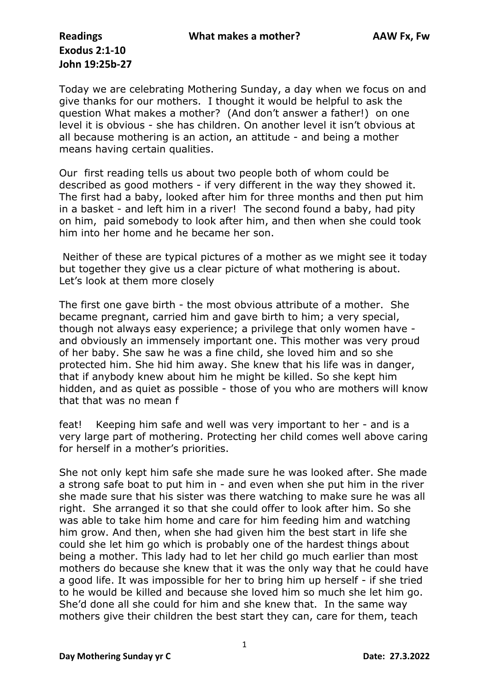## **Exodus 2:1-10 John 19:25b-27**

Today we are celebrating Mothering Sunday, a day when we focus on and give thanks for our mothers. I thought it would be helpful to ask the question What makes a mother? (And don't answer a father!) on one level it is obvious - she has children. On another level it isn't obvious at all because mothering is an action, an attitude - and being a mother means having certain qualities.

Our first reading tells us about two people both of whom could be described as good mothers - if very different in the way they showed it. The first had a baby, looked after him for three months and then put him in a basket - and left him in a river! The second found a baby, had pity on him, paid somebody to look after him, and then when she could took him into her home and he became her son.

Neither of these are typical pictures of a mother as we might see it today but together they give us a clear picture of what mothering is about. Let's look at them more closely

The first one gave birth - the most obvious attribute of a mother. She became pregnant, carried him and gave birth to him; a very special, though not always easy experience; a privilege that only women have and obviously an immensely important one. This mother was very proud of her baby. She saw he was a fine child, she loved him and so she protected him. She hid him away. She knew that his life was in danger, that if anybody knew about him he might be killed. So she kept him hidden, and as quiet as possible - those of you who are mothers will know that that was no mean f

feat! Keeping him safe and well was very important to her - and is a very large part of mothering. Protecting her child comes well above caring for herself in a mother's priorities.

She not only kept him safe she made sure he was looked after. She made a strong safe boat to put him in - and even when she put him in the river she made sure that his sister was there watching to make sure he was all right. She arranged it so that she could offer to look after him. So she was able to take him home and care for him feeding him and watching him grow. And then, when she had given him the best start in life she could she let him go which is probably one of the hardest things about being a mother. This lady had to let her child go much earlier than most mothers do because she knew that it was the only way that he could have a good life. It was impossible for her to bring him up herself - if she tried to he would be killed and because she loved him so much she let him go. She'd done all she could for him and she knew that. In the same way mothers give their children the best start they can, care for them, teach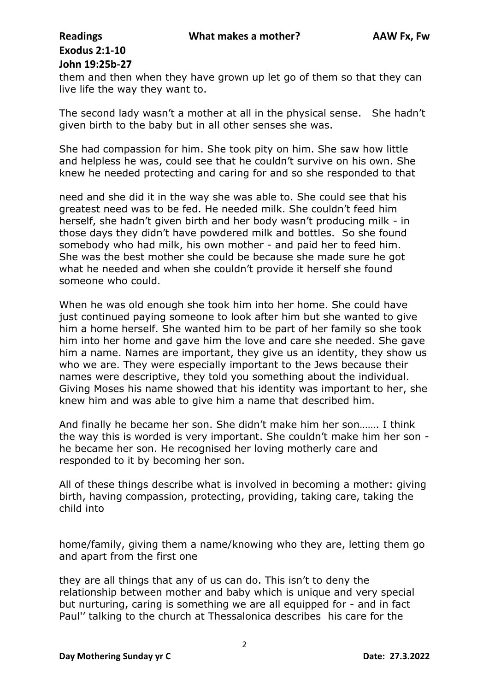## **Exodus 2:1-10 John 19:25b-27**

them and then when they have grown up let go of them so that they can live life the way they want to.

The second lady wasn't a mother at all in the physical sense. She hadn't given birth to the baby but in all other senses she was.

She had compassion for him. She took pity on him. She saw how little and helpless he was, could see that he couldn't survive on his own. She knew he needed protecting and caring for and so she responded to that

need and she did it in the way she was able to. She could see that his greatest need was to be fed. He needed milk. She couldn't feed him herself, she hadn't given birth and her body wasn't producing milk - in those days they didn't have powdered milk and bottles. So she found somebody who had milk, his own mother - and paid her to feed him. She was the best mother she could be because she made sure he got what he needed and when she couldn't provide it herself she found someone who could.

When he was old enough she took him into her home. She could have just continued paying someone to look after him but she wanted to give him a home herself. She wanted him to be part of her family so she took him into her home and gave him the love and care she needed. She gave him a name. Names are important, they give us an identity, they show us who we are. They were especially important to the Jews because their names were descriptive, they told you something about the individual. Giving Moses his name showed that his identity was important to her, she knew him and was able to give him a name that described him.

And finally he became her son. She didn't make him her son……. I think the way this is worded is very important. She couldn't make him her son he became her son. He recognised her loving motherly care and responded to it by becoming her son.

All of these things describe what is involved in becoming a mother: giving birth, having compassion, protecting, providing, taking care, taking the child into

home/family, giving them a name/knowing who they are, letting them go and apart from the first one

they are all things that any of us can do. This isn't to deny the relationship between mother and baby which is unique and very special but nurturing, caring is something we are all equipped for - and in fact Paul'' talking to the church at Thessalonica describes his care for the